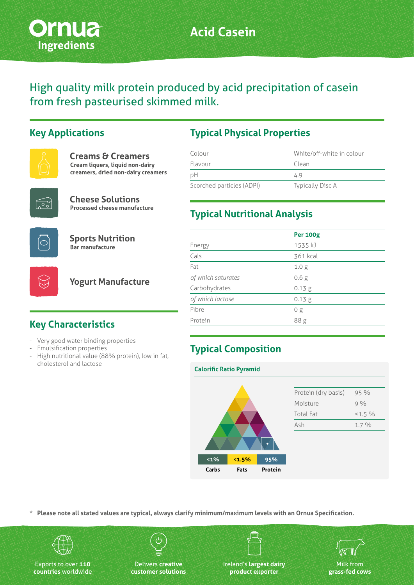

# **Acid Casein**

High quality milk protein produced by acid precipitation of casein from fresh pasteurised skimmed milk.

### **Key Applications**



| <b>Creams &amp; Creamers</b>       |
|------------------------------------|
| Cream liquers, liquid non-dairy    |
| creamers, dried non-dairy creamers |



**Cheese Solutions Processed cheese manufacture**



**Sports Nutrition Bar manufacture**



**Yogurt Manufacture**

# **Key Characteristics**

- Very good water binding properties
- Emulsification properties
- High nutritional value (88% protein), low in fat, cholesterol and lactose

### **Typical Physical Properties**

| Colour                    | White/off-white in colour |
|---------------------------|---------------------------|
| Flavour                   | Clean                     |
| рH                        | 4.9                       |
| Scorched particles (ADPI) | Typically Disc A          |

### **Typical Nutritional Analysis**

|                    | <b>Per 100g</b>  |  |
|--------------------|------------------|--|
| Energy             | 1535 kJ          |  |
| Cals               | 361 kcal         |  |
| Fat                | 1.0 <sub>g</sub> |  |
| of which saturates | 0.6 <sub>g</sub> |  |
| Carbohydrates      | 0.13 g           |  |
| of which lactose   | 0.13 g           |  |
| Fibre              | 0 g              |  |
| Protein            | 88g              |  |
|                    |                  |  |

# **Typical Composition**

#### **Calorific Ratio Pyramid**



| Protein (dry basis) | 95 %     |
|---------------------|----------|
| Moisture            | $9\%$    |
| <b>Total Fat</b>    | $<1.5\%$ |
| Ash                 | $1.7\%$  |
|                     |          |

**\* Please note all stated values are typical, always clarify minimum/maximum levels with an Ornua Specification.**



Exports to over **110 countries** worldwide

Delivers **creative customer solutions**